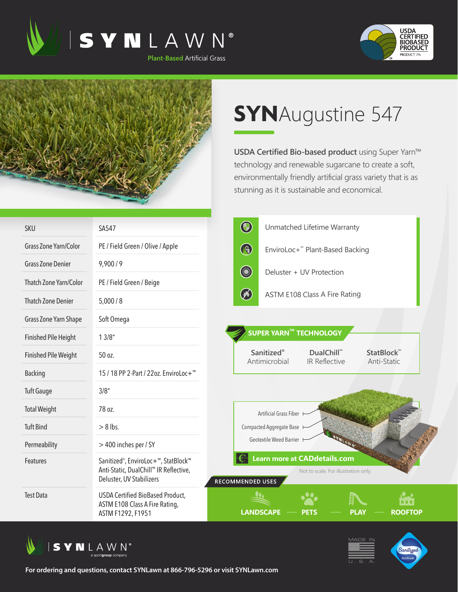





## **SYN**Augustine 547

**USDA Certified Bio-based product** using Super Yarn™ technology and renewable sugarcane to create a soft, environmentally friendly artificial grass variety that is as stunning as it is sustainable and economical.

| <b>SKU</b>                    | SA547                                                                                                                               | $\bigcirc$<br>Unmatched Lifetime Warranty                                                              |
|-------------------------------|-------------------------------------------------------------------------------------------------------------------------------------|--------------------------------------------------------------------------------------------------------|
| <b>Grass Zone Yarn/Color</b>  | PE / Field Green / Olive / Apple                                                                                                    | $\bigcirc$<br>EnviroLoc+ <sup>™</sup> Plant-Based Backing                                              |
| <b>Grass Zone Denier</b>      | 9,900/9                                                                                                                             | <b>Committee Street</b><br>Deluster + UV Protection                                                    |
| <b>Thatch Zone Yarn/Color</b> | PE / Field Green / Beige                                                                                                            |                                                                                                        |
| <b>Thatch Zone Denier</b>     | 5,000/8                                                                                                                             | $\oslash$<br>ASTM E108 Class A Fire Rating                                                             |
| Grass Zone Yarn Shape         | Soft Omega                                                                                                                          |                                                                                                        |
| <b>Finished Pile Height</b>   | 13/8"                                                                                                                               | <b>SUPER YARN™ TECHNOLOGY</b>                                                                          |
| <b>Finished Pile Weight</b>   | 50 oz.                                                                                                                              | <b>Sanitized®</b><br>DualChill™<br>StatBlock™<br>Antimicrobial<br>IR Reflective<br>Anti-Static         |
| <b>Backing</b>                | 15 / 18 PP 2-Part / 22oz. EnviroLoc+ <sup>™</sup>                                                                                   |                                                                                                        |
| <b>Tuft Gauge</b>             | 3/8''                                                                                                                               |                                                                                                        |
| <b>Total Weight</b>           | 78 oz.                                                                                                                              | Artificial Grass Fiber                                                                                 |
| <b>Tuft Bind</b>              | $> 8$ lbs.                                                                                                                          | <b>Compacted Aggregate Base</b>                                                                        |
| Permeability                  | > 400 inches per / SY                                                                                                               | Geotextile Weed Barrier                                                                                |
| Features                      | Sanitized <sup>®</sup> , EnviroLoc+ <sup>™</sup> , StatBlock™<br>Anti-Static, DualChill™ IR Reflective,<br>Deluster, UV Stabilizers | <b>Learn more at CADdetails.com</b><br>Not to scale. For illustration only.<br><b>RECOMMENDED USES</b> |
| <b>Test Data</b>              | <b>USDA Certified BioBased Product,</b><br>ASTM E108 Class A Fire Rating,<br>ASTM F1292, F1951                                      | .<br><b>PLAY</b><br><b>LANDSCAPE</b><br><b>ROOFTOP</b><br>PETS                                         |